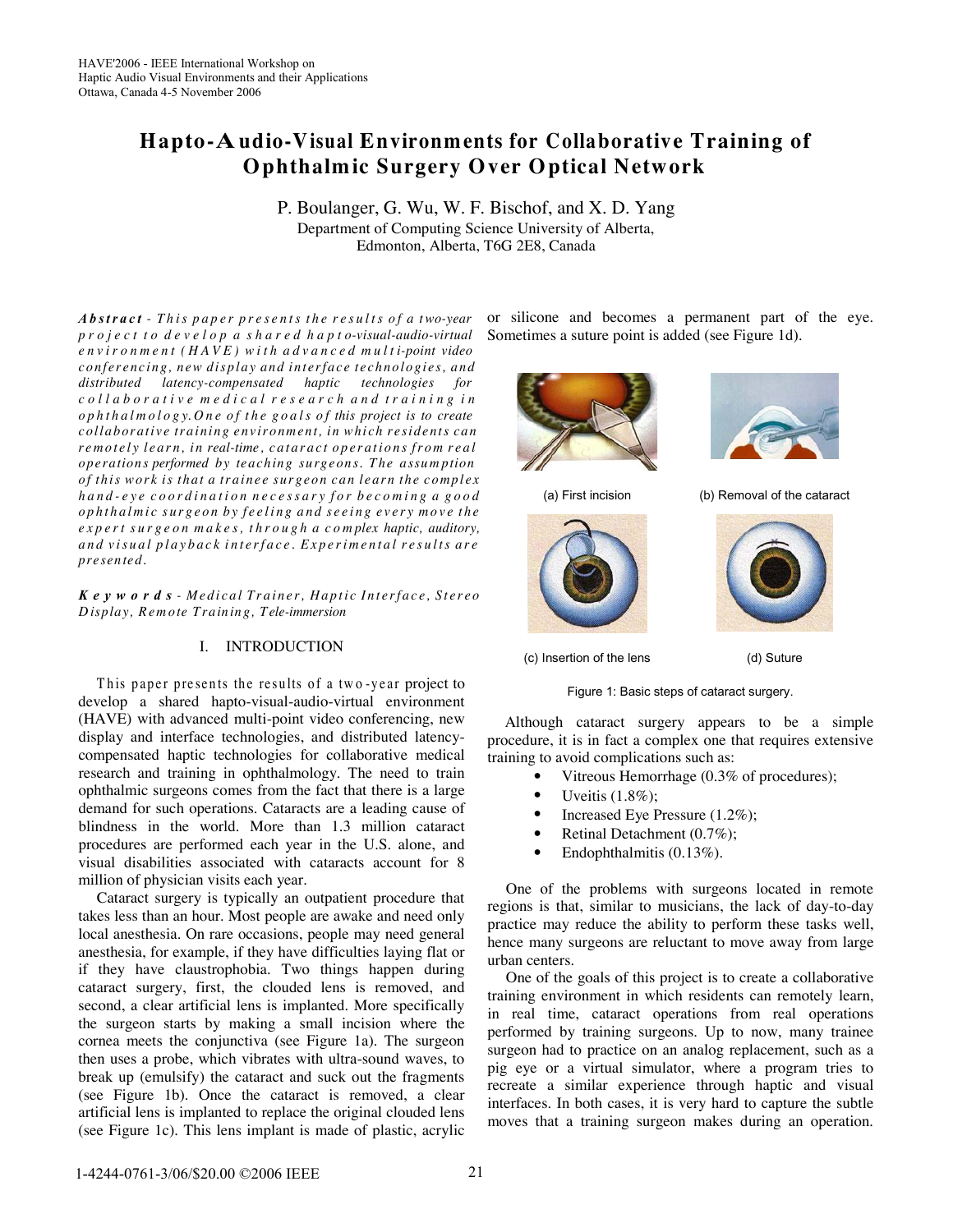# **Hapto-Audio-Visual Environm ents for Collaborative Training of Ophthalm ic Surgery Over Optical Network**

P. Boulanger, G. Wu, W. F. Bischof, and X. D. Yang Department of Computing Science University of Alberta, Edmonton, Alberta, T6G 2E8, Canada

**Abstract** - This paper presents the results of a two-year project to develop a shared hapto-visual-audio-virtual  $environment(HAVE) with advanced multi-point video$ *conf e r enc ing, new display and int e rfac e t e chnologi e s, and distributed latency-compensated haptic technologies for* collaborative medical research and training in  $ophthalmology. One of the goals of this project is to create$ *collaborati v e training env ironment, in whi ch r e sidents can* remotely learn, in real-time, cataract operations from real *ope ration s performed by teach in g su rgeon s. T h e assum ption* of this work is that a trainee surgeon can learn the complex hand-eye coordination necessary for becoming a good ophthalmic surgeon by feeling and seeing every move the expert surgeon makes, through a complex haptic, auditory, and visual playback interface. Experimental results are *pre sen ted.*

Keywords - Medical Trainer, Haptic Interface, Stereo *D isplay , Rem ote T rain in g, Tele-immersion*

# I. INTRODUCTION

This paper presents the results of a two-year project to develop a shared hapto-visual-audio-virtual environment (HAVE) with advanced multi-point video conferencing, new display and interface technologies, and distributed latencycompensated haptic technologies for collaborative medical research and training in ophthalmology. The need to train ophthalmic surgeons comes from the fact that there is a large demand for such operations. Cataracts are a leading cause of blindness in the world. More than 1.3 million cataract procedures are performed each year in the U.S. alone, and visual disabilities associated with cataracts account for 8 million of physician visits each year.

Cataract surgery is typically an outpatient procedure that takes less than an hour. Most people are awake and need only local anesthesia. On rare occasions, people may need general anesthesia, for example, if they have difficulties laying flat or if they have claustrophobia. Two things happen during cataract surgery, first, the clouded lens is removed, and second, a clear artificial lens is implanted. More specifically the surgeon starts by making a small incision where the cornea meets the conjunctiva (see Figure 1a). The surgeon then uses a probe, which vibrates with ultra-sound waves, to break up (emulsify) the cataract and suck out the fragments (see Figure 1b). Once the cataract is removed, a clear artificial lens is implanted to replace the original clouded lens (see Figure 1c). This lens implant is made of plastic, acrylic or silicone and becomes a permanent part of the eye. Sometimes a suture point is added (see Figure 1d).









(c) Insertion of the lens (d) Suture

Figure 1: Basic steps of cataract surgery.

Although cataract surgery appears to be a simple procedure, it is in fact a complex one that requires extensive training to avoid complications such as:

- Vitreous Hemorrhage (0.3% of procedures);
- Uveitis  $(1.8\%)$ ;
- Increased Eye Pressure (1.2%);
- Retinal Detachment (0.7%);
- Endophthalmitis (0.13%).

One of the problems with surgeons located in remote regions is that, similar to musicians, the lack of day-to-day practice may reduce the ability to perform these tasks well, hence many surgeons are reluctant to move away from large urban centers.

One of the goals of this project is to create a collaborative training environment in which residents can remotely learn, in real time, cataract operations from real operations performed by training surgeons. Up to now, many trainee surgeon had to practice on an analog replacement, such as a pig eye or a virtual simulator, where a program tries to recreate a similar experience through haptic and visual interfaces. In both cases, it is very hard to capture the subtle moves that a training surgeon makes during an operation.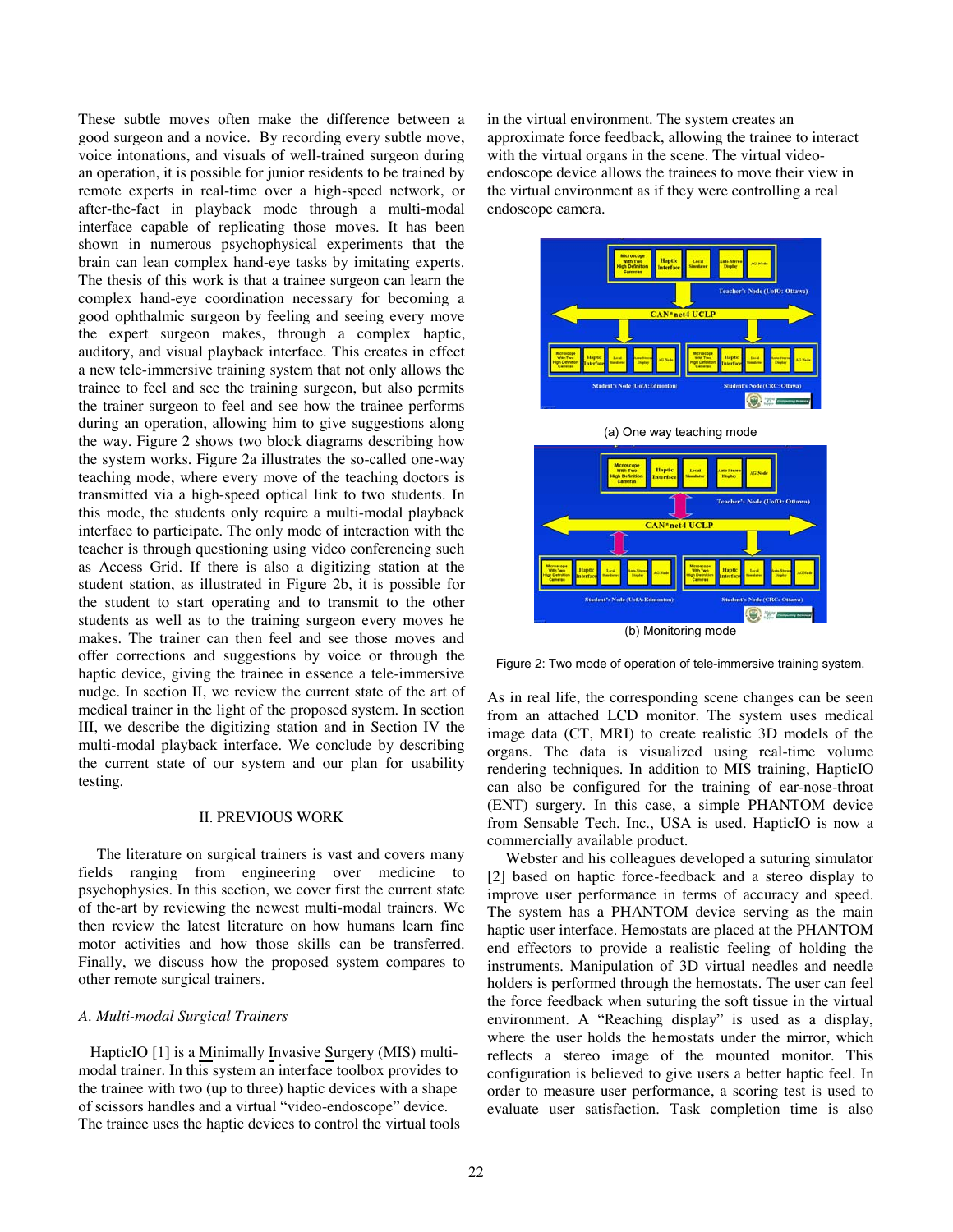These subtle moves often make the difference between a good surgeon and a novice. By recording every subtle move, voice intonations, and visuals of well-trained surgeon during an operation, it is possible for junior residents to be trained by remote experts in real-time over a high-speed network, or after-the-fact in playback mode through a multi-modal interface capable of replicating those moves. It has been shown in numerous psychophysical experiments that the brain can lean complex hand-eye tasks by imitating experts. The thesis of this work is that a trainee surgeon can learn the complex hand-eye coordination necessary for becoming a good ophthalmic surgeon by feeling and seeing every move the expert surgeon makes, through a complex haptic, auditory, and visual playback interface. This creates in effect a new tele-immersive training system that not only allows the trainee to feel and see the training surgeon, but also permits the trainer surgeon to feel and see how the trainee performs during an operation, allowing him to give suggestions along the way. Figure 2 shows two block diagrams describing how the system works. Figure 2a illustrates the so-called one-way teaching mode, where every move of the teaching doctors is transmitted via a high-speed optical link to two students. In this mode, the students only require a multi-modal playback interface to participate. The only mode of interaction with the teacher is through questioning using video conferencing such as Access Grid. If there is also a digitizing station at the student station, as illustrated in Figure 2b, it is possible for the student to start operating and to transmit to the other students as well as to the training surgeon every moves he makes. The trainer can then feel and see those moves and offer corrections and suggestions by voice or through the haptic device, giving the trainee in essence a tele-immersive nudge. In section II, we review the current state of the art of medical trainer in the light of the proposed system. In section III, we describe the digitizing station and in Section IV the multi-modal playback interface. We conclude by describing the current state of our system and our plan for usability testing.

## II. PREVIOUS WORK

The literature on surgical trainers is vast and covers many fields ranging from engineering over medicine to psychophysics. In this section, we cover first the current state of the-art by reviewing the newest multi-modal trainers. We then review the latest literature on how humans learn fine motor activities and how those skills can be transferred. Finally, we discuss how the proposed system compares to other remote surgical trainers.

## *A. Multi-modal Surgical Trainers*

HapticIO [1] is a Minimally Invasive Surgery (MIS) multimodal trainer. In this system an interface toolbox provides to the trainee with two (up to three) haptic devices with a shape of scissors handles and a virtual "video-endoscope" device. The trainee uses the haptic devices to control the virtual tools in the virtual environment. The system creates an approximate force feedback, allowing the trainee to interact with the virtual organs in the scene. The virtual videoendoscope device allows the trainees to move their view in the virtual environment as if they were controlling a real endoscope camera.





Figure 2: Two mode of operation of tele-immersive training system.

As in real life, the corresponding scene changes can be seen from an attached LCD monitor. The system uses medical image data (CT, MRI) to create realistic 3D models of the organs. The data is visualized using real-time volume rendering techniques. In addition to MIS training, HapticIO can also be configured for the training of ear-nose-throat (ENT) surgery. In this case, a simple PHANTOM device from Sensable Tech. Inc., USA is used. HapticIO is now a commercially available product.

Webster and his colleagues developed a suturing simulator [2] based on haptic force-feedback and a stereo display to improve user performance in terms of accuracy and speed. The system has a PHANTOM device serving as the main haptic user interface. Hemostats are placed at the PHANTOM end effectors to provide a realistic feeling of holding the instruments. Manipulation of 3D virtual needles and needle holders is performed through the hemostats. The user can feel the force feedback when suturing the soft tissue in the virtual environment. A "Reaching display" is used as a display, where the user holds the hemostats under the mirror, which reflects a stereo image of the mounted monitor. This configuration is believed to give users a better haptic feel. In order to measure user performance, a scoring test is used to evaluate user satisfaction. Task completion time is also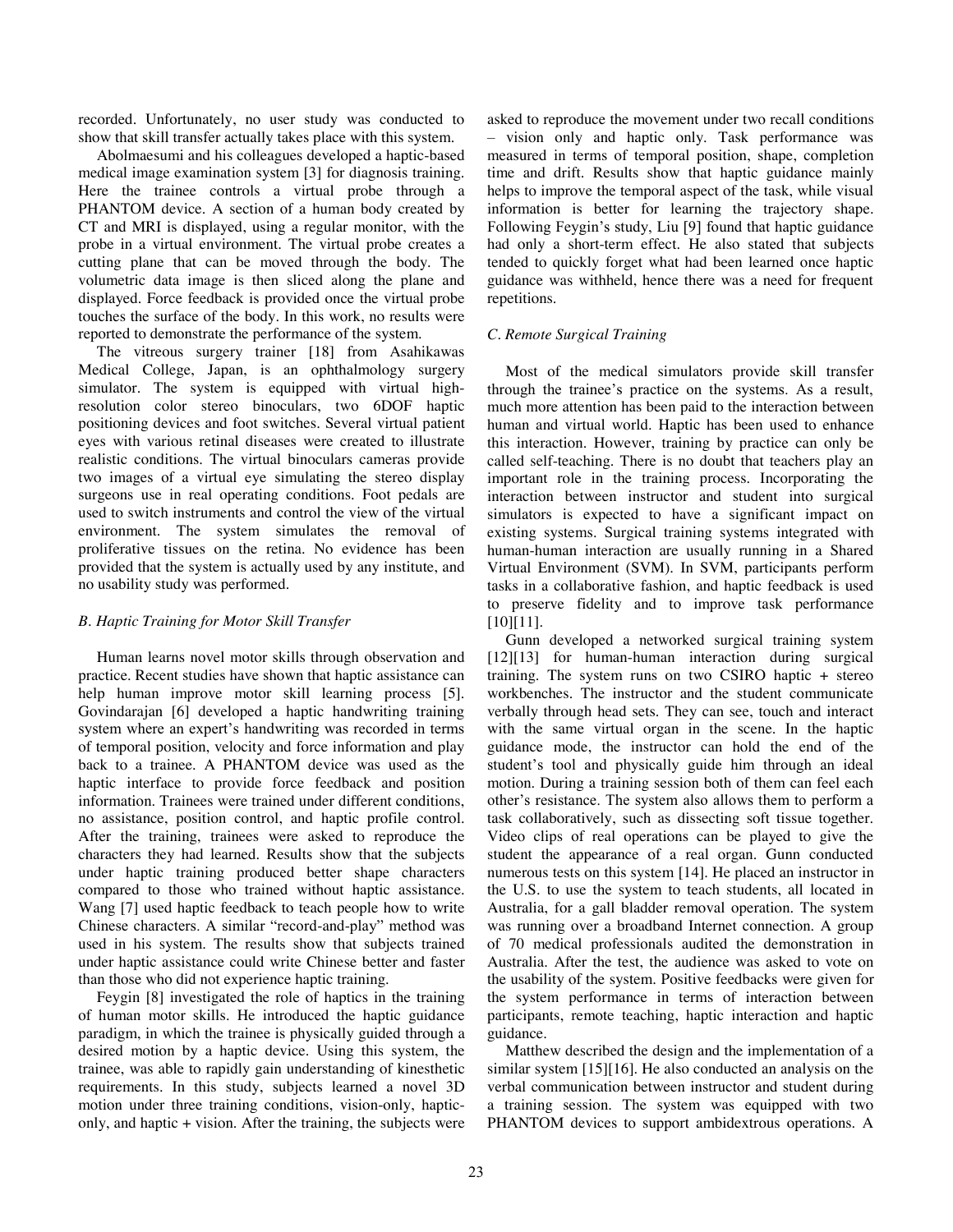recorded. Unfortunately, no user study was conducted to show that skill transfer actually takes place with this system.

Abolmaesumi and his colleagues developed a haptic-based medical image examination system [3] for diagnosis training. Here the trainee controls a virtual probe through a PHANTOM device. A section of a human body created by CT and MRI is displayed, using a regular monitor, with the probe in a virtual environment. The virtual probe creates a cutting plane that can be moved through the body. The volumetric data image is then sliced along the plane and displayed. Force feedback is provided once the virtual probe touches the surface of the body. In this work, no results were reported to demonstrate the performance of the system.

The vitreous surgery trainer [18] from Asahikawas Medical College, Japan, is an ophthalmology surgery simulator. The system is equipped with virtual highresolution color stereo binoculars, two 6DOF haptic positioning devices and foot switches. Several virtual patient eyes with various retinal diseases were created to illustrate realistic conditions. The virtual binoculars cameras provide two images of a virtual eye simulating the stereo display surgeons use in real operating conditions. Foot pedals are used to switch instruments and control the view of the virtual environment. The system simulates the removal of proliferative tissues on the retina. No evidence has been provided that the system is actually used by any institute, and no usability study was performed.

# *B. Haptic Training for Motor Skill Transfer*

Human learns novel motor skills through observation and practice. Recent studies have shown that haptic assistance can help human improve motor skill learning process [5]. Govindarajan [6] developed a haptic handwriting training system where an expert's handwriting was recorded in terms of temporal position, velocity and force information and play back to a trainee. A PHANTOM device was used as the haptic interface to provide force feedback and position information. Trainees were trained under different conditions, no assistance, position control, and haptic profile control. After the training, trainees were asked to reproduce the characters they had learned. Results show that the subjects under haptic training produced better shape characters compared to those who trained without haptic assistance. Wang [7] used haptic feedback to teach people how to write Chinese characters. A similar "record-and-play" method was used in his system. The results show that subjects trained under haptic assistance could write Chinese better and faster than those who did not experience haptic training.

Feygin [8] investigated the role of haptics in the training of human motor skills. He introduced the haptic guidance paradigm, in which the trainee is physically guided through a desired motion by a haptic device. Using this system, the trainee, was able to rapidly gain understanding of kinesthetic requirements. In this study, subjects learned a novel 3D motion under three training conditions, vision-only, hapticonly, and haptic + vision. After the training, the subjects were asked to reproduce the movement under two recall conditions – vision only and haptic only. Task performance was measured in terms of temporal position, shape, completion time and drift. Results show that haptic guidance mainly helps to improve the temporal aspect of the task, while visual information is better for learning the trajectory shape. Following Feygin's study, Liu [9] found that haptic guidance had only a short-term effect. He also stated that subjects tended to quickly forget what had been learned once haptic guidance was withheld, hence there was a need for frequent repetitions.

# *C. Remote Surgical Training*

Most of the medical simulators provide skill transfer through the trainee's practice on the systems. As a result, much more attention has been paid to the interaction between human and virtual world. Haptic has been used to enhance this interaction. However, training by practice can only be called self-teaching. There is no doubt that teachers play an important role in the training process. Incorporating the interaction between instructor and student into surgical simulators is expected to have a significant impact on existing systems. Surgical training systems integrated with human-human interaction are usually running in a Shared Virtual Environment (SVM). In SVM, participants perform tasks in a collaborative fashion, and haptic feedback is used to preserve fidelity and to improve task performance [10][11].

Gunn developed a networked surgical training system [12][13] for human-human interaction during surgical training. The system runs on two CSIRO haptic + stereo workbenches. The instructor and the student communicate verbally through head sets. They can see, touch and interact with the same virtual organ in the scene. In the haptic guidance mode, the instructor can hold the end of the student's tool and physically guide him through an ideal motion. During a training session both of them can feel each other's resistance. The system also allows them to perform a task collaboratively, such as dissecting soft tissue together. Video clips of real operations can be played to give the student the appearance of a real organ. Gunn conducted numerous tests on this system [14]. He placed an instructor in the U.S. to use the system to teach students, all located in Australia, for a gall bladder removal operation. The system was running over a broadband Internet connection. A group of 70 medical professionals audited the demonstration in Australia. After the test, the audience was asked to vote on the usability of the system. Positive feedbacks were given for the system performance in terms of interaction between participants, remote teaching, haptic interaction and haptic guidance.

Matthew described the design and the implementation of a similar system [15][16]. He also conducted an analysis on the verbal communication between instructor and student during a training session. The system was equipped with two PHANTOM devices to support ambidextrous operations. A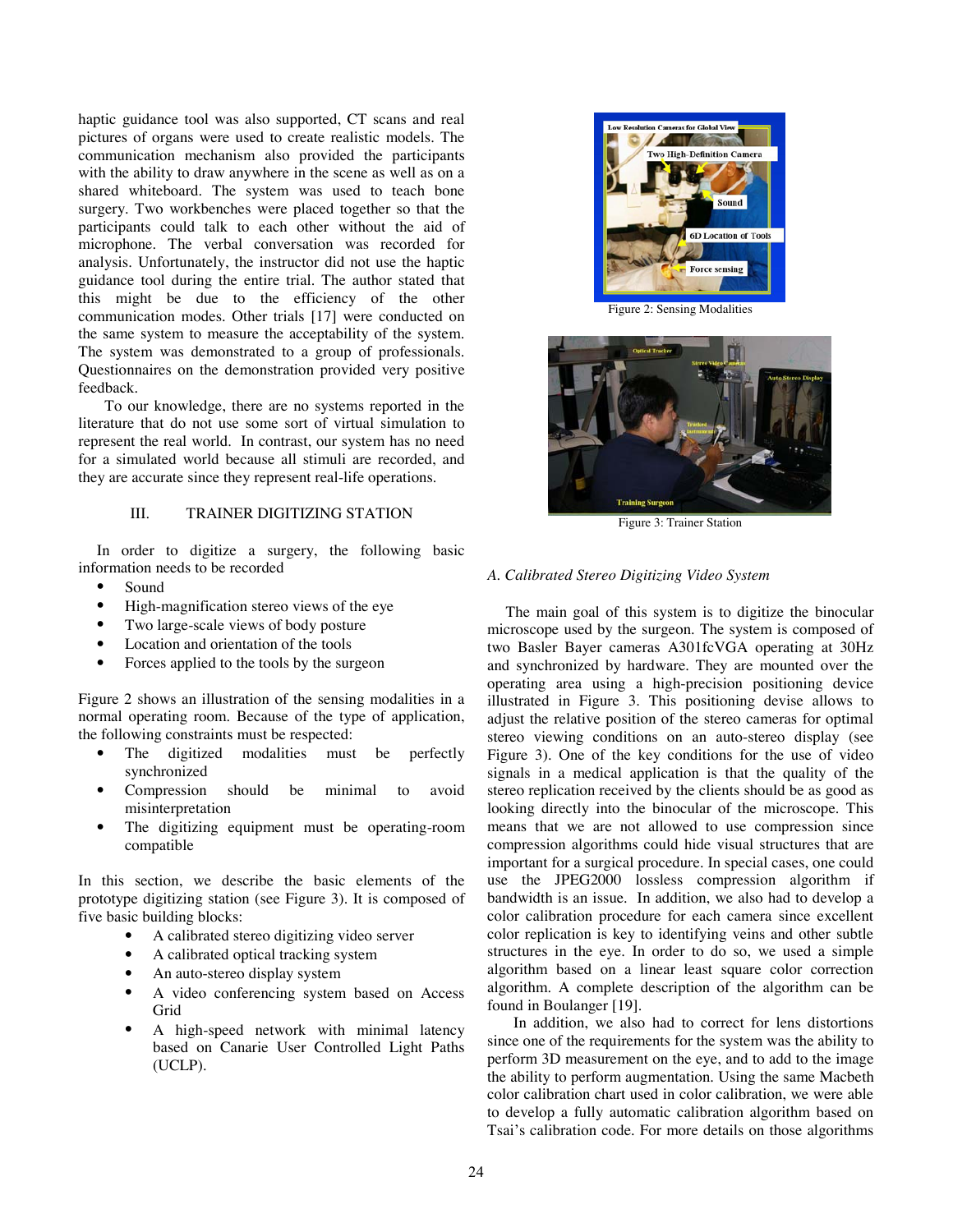haptic guidance tool was also supported, CT scans and real pictures of organs were used to create realistic models. The communication mechanism also provided the participants with the ability to draw anywhere in the scene as well as on a shared whiteboard. The system was used to teach bone surgery. Two workbenches were placed together so that the participants could talk to each other without the aid of microphone. The verbal conversation was recorded for analysis. Unfortunately, the instructor did not use the haptic guidance tool during the entire trial. The author stated that this might be due to the efficiency of the other communication modes. Other trials [17] were conducted on the same system to measure the acceptability of the system. The system was demonstrated to a group of professionals. Questionnaires on the demonstration provided very positive feedback.

To our knowledge, there are no systems reported in the literature that do not use some sort of virtual simulation to represent the real world. In contrast, our system has no need for a simulated world because all stimuli are recorded, and they are accurate since they represent real-life operations.

# III. TRAINER DIGITIZING STATION

In order to digitize a surgery, the following basic information needs to be recorded

- Sound
- High-magnification stereo views of the eye
- Two large-scale views of body posture
- Location and orientation of the tools
- Forces applied to the tools by the surgeon

Figure 2 shows an illustration of the sensing modalities in a normal operating room. Because of the type of application, the following constraints must be respected:

- The digitized modalities must be perfectly synchronized
- Compression should be minimal to avoid misinterpretation
- The digitizing equipment must be operating-room compatible

In this section, we describe the basic elements of the prototype digitizing station (see Figure 3). It is composed of five basic building blocks:

- A calibrated stereo digitizing video server
- A calibrated optical tracking system
- An auto-stereo display system
- A video conferencing system based on Access Grid
- A high-speed network with minimal latency based on Canarie User Controlled Light Paths (UCLP).



Figure 2: Sensing Modalities



Figure 3: Trainer Station

#### *A. Calibrated Stereo Digitizing Video System*

The main goal of this system is to digitize the binocular microscope used by the surgeon. The system is composed of two Basler Bayer cameras A301fcVGA operating at 30Hz and synchronized by hardware. They are mounted over the operating area using a high-precision positioning device illustrated in Figure 3. This positioning devise allows to adjust the relative position of the stereo cameras for optimal stereo viewing conditions on an auto-stereo display (see Figure 3). One of the key conditions for the use of video signals in a medical application is that the quality of the stereo replication received by the clients should be as good as looking directly into the binocular of the microscope. This means that we are not allowed to use compression since compression algorithms could hide visual structures that are important for a surgical procedure. In special cases, one could use the JPEG2000 lossless compression algorithm if bandwidth is an issue. In addition, we also had to develop a color calibration procedure for each camera since excellent color replication is key to identifying veins and other subtle structures in the eye. In order to do so, we used a simple algorithm based on a linear least square color correction algorithm. A complete description of the algorithm can be found in Boulanger [19].

In addition, we also had to correct for lens distortions since one of the requirements for the system was the ability to perform 3D measurement on the eye, and to add to the image the ability to perform augmentation. Using the same Macbeth color calibration chart used in color calibration, we were able to develop a fully automatic calibration algorithm based on Tsai's calibration code. For more details on those algorithms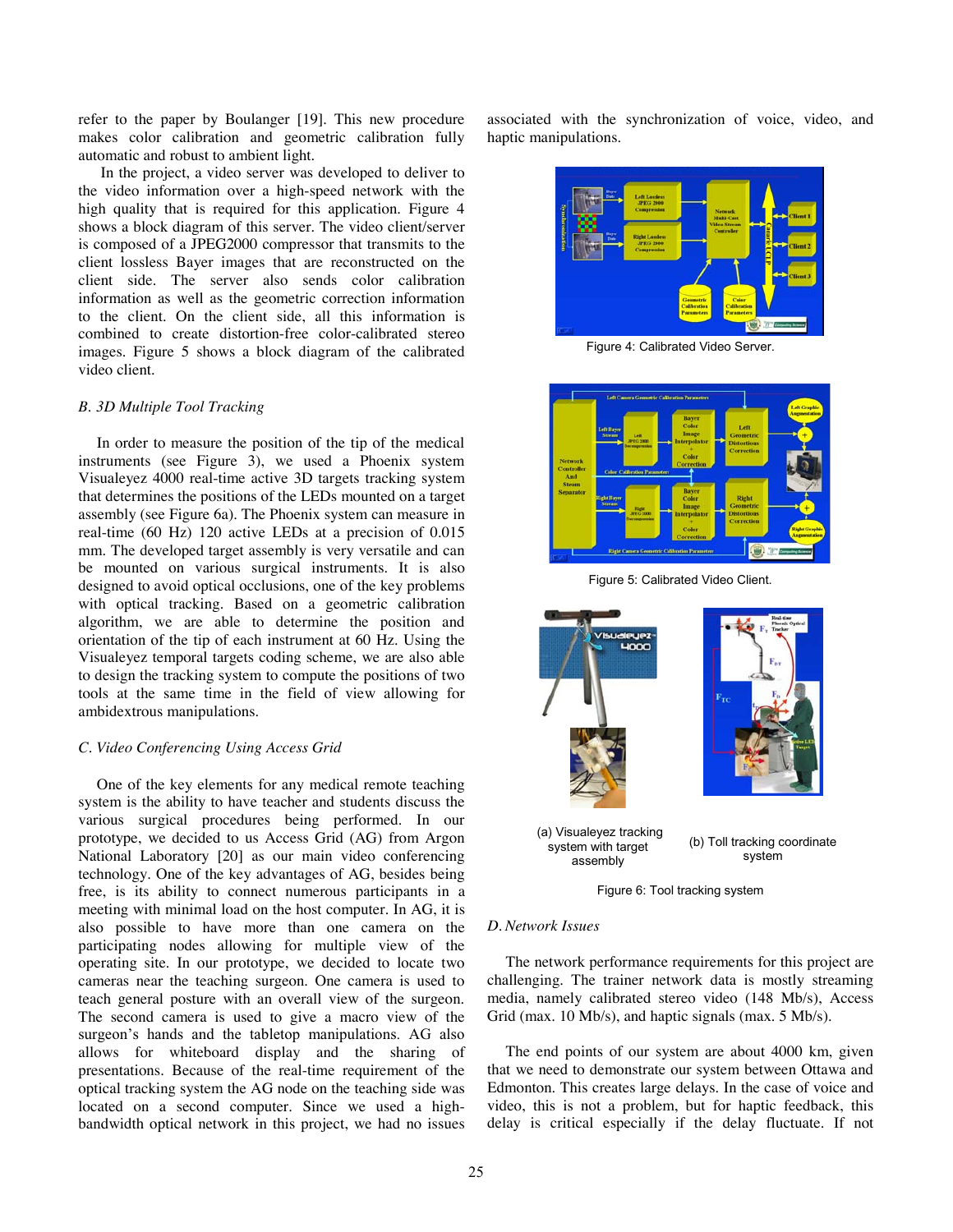refer to the paper by Boulanger [19]. This new procedure makes color calibration and geometric calibration fully automatic and robust to ambient light.

In the project, a video server was developed to deliver to the video information over a high-speed network with the high quality that is required for this application. Figure 4 shows a block diagram of this server. The video client/server is composed of a JPEG2000 compressor that transmits to the client lossless Bayer images that are reconstructed on the client side. The server also sends color calibration information as well as the geometric correction information to the client. On the client side, all this information is combined to create distortion-free color-calibrated stereo images. Figure 5 shows a block diagram of the calibrated video client.

## *B. 3D Multiple Tool Tracking*

In order to measure the position of the tip of the medical instruments (see Figure 3), we used a Phoenix system Visualeyez 4000 real-time active 3D targets tracking system that determines the positions of the LEDs mounted on a target assembly (see Figure 6a). The Phoenix system can measure in real-time (60 Hz) 120 active LEDs at a precision of 0.015 mm. The developed target assembly is very versatile and can be mounted on various surgical instruments. It is also designed to avoid optical occlusions, one of the key problems with optical tracking. Based on a geometric calibration algorithm, we are able to determine the position and orientation of the tip of each instrument at 60 Hz. Using the Visualeyez temporal targets coding scheme, we are also able to design the tracking system to compute the positions of two tools at the same time in the field of view allowing for ambidextrous manipulations.

#### *C. Video Conferencing Using Access Grid*

One of the key elements for any medical remote teaching system is the ability to have teacher and students discuss the various surgical procedures being performed. In our prototype, we decided to us Access Grid (AG) from Argon National Laboratory [20] as our main video conferencing technology. One of the key advantages of AG, besides being free, is its ability to connect numerous participants in a meeting with minimal load on the host computer. In AG, it is also possible to have more than one camera on the participating nodes allowing for multiple view of the operating site. In our prototype, we decided to locate two cameras near the teaching surgeon. One camera is used to teach general posture with an overall view of the surgeon. The second camera is used to give a macro view of the surgeon's hands and the tabletop manipulations. AG also allows for whiteboard display and the sharing of presentations. Because of the real-time requirement of the optical tracking system the AG node on the teaching side was located on a second computer. Since we used a highbandwidth optical network in this project, we had no issues

associated with the synchronization of voice, video, and haptic manipulations.



Figure 4: Calibrated Video Server.



Figure 5: Calibrated Video Client.



Figure 6: Tool tracking system

#### *D. Network Issues*

The network performance requirements for this project are challenging. The trainer network data is mostly streaming media, namely calibrated stereo video (148 Mb/s), Access Grid (max. 10 Mb/s), and haptic signals (max. 5 Mb/s).

The end points of our system are about 4000 km, given that we need to demonstrate our system between Ottawa and Edmonton. This creates large delays. In the case of voice and video, this is not a problem, but for haptic feedback, this delay is critical especially if the delay fluctuate. If not